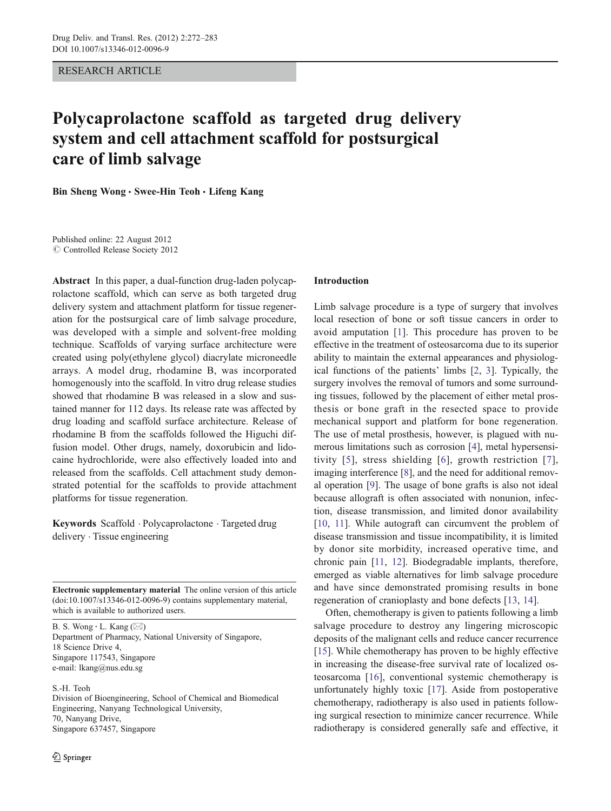RESEARCH ARTICLE

# Polycaprolactone scaffold as targeted drug delivery system and cell attachment scaffold for postsurgical care of limb salvage

Bin Sheng Wong · Swee-Hin Teoh · Lifeng Kang

Published online: 22 August 2012  $\odot$  Controlled Release Society 2012

Abstract In this paper, a dual-function drug-laden polycaprolactone scaffold, which can serve as both targeted drug delivery system and attachment platform for tissue regeneration for the postsurgical care of limb salvage procedure, was developed with a simple and solvent-free molding technique. Scaffolds of varying surface architecture were created using poly(ethylene glycol) diacrylate microneedle arrays. A model drug, rhodamine B, was incorporated homogenously into the scaffold. In vitro drug release studies showed that rhodamine B was released in a slow and sustained manner for 112 days. Its release rate was affected by drug loading and scaffold surface architecture. Release of rhodamine B from the scaffolds followed the Higuchi diffusion model. Other drugs, namely, doxorubicin and lidocaine hydrochloride, were also effectively loaded into and released from the scaffolds. Cell attachment study demonstrated potential for the scaffolds to provide attachment platforms for tissue regeneration.

Keywords Scaffold . Polycaprolactone . Targeted drug delivery . Tissue engineering

Electronic supplementary material The online version of this article (doi:[10.1007/s13346-012-0096-9](http://dx.doi.org/10.1007/s13346-012-0096-9)) contains supplementary material, which is available to authorized users.

B. S. Wong  $\cdot$  L. Kang ( $\boxtimes$ ) Department of Pharmacy, National University of Singapore, 18 Science Drive 4, Singapore 117543, Singapore e-mail: lkang@nus.edu.sg

S.-H. Teoh

Division of Bioengineering, School of Chemical and Biomedical Engineering, Nanyang Technological University, 70, Nanyang Drive, Singapore 637457, Singapore

## Introduction

Limb salvage procedure is a type of surgery that involves local resection of bone or soft tissue cancers in order to avoid amputation [\[1](#page-10-0)]. This procedure has proven to be effective in the treatment of osteosarcoma due to its superior ability to maintain the external appearances and physiological functions of the patients' limbs [\[2](#page-10-0), [3\]](#page-10-0). Typically, the surgery involves the removal of tumors and some surrounding tissues, followed by the placement of either metal prosthesis or bone graft in the resected space to provide mechanical support and platform for bone regeneration. The use of metal prosthesis, however, is plagued with numerous limitations such as corrosion [[4\]](#page-10-0), metal hypersensitivity [[5\]](#page-10-0), stress shielding [[6](#page-10-0)], growth restriction [[7](#page-10-0)], imaging interference [[8\]](#page-10-0), and the need for additional removal operation [[9\]](#page-10-0). The usage of bone grafts is also not ideal because allograft is often associated with nonunion, infection, disease transmission, and limited donor availability [\[10](#page-10-0), [11](#page-10-0)]. While autograft can circumvent the problem of disease transmission and tissue incompatibility, it is limited by donor site morbidity, increased operative time, and chronic pain [\[11](#page-10-0), [12](#page-10-0)]. Biodegradable implants, therefore, emerged as viable alternatives for limb salvage procedure and have since demonstrated promising results in bone regeneration of cranioplasty and bone defects [[13,](#page-10-0) [14](#page-10-0)].

Often, chemotherapy is given to patients following a limb salvage procedure to destroy any lingering microscopic deposits of the malignant cells and reduce cancer recurrence [\[15](#page-10-0)]. While chemotherapy has proven to be highly effective in increasing the disease-free survival rate of localized osteosarcoma [[16\]](#page-10-0), conventional systemic chemotherapy is unfortunately highly toxic [\[17](#page-10-0)]. Aside from postoperative chemotherapy, radiotherapy is also used in patients following surgical resection to minimize cancer recurrence. While radiotherapy is considered generally safe and effective, it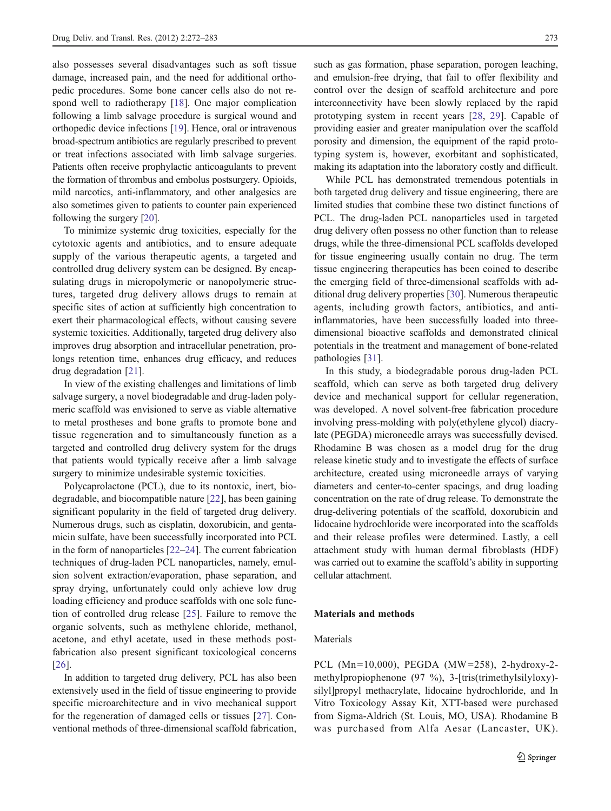also possesses several disadvantages such as soft tissue damage, increased pain, and the need for additional orthopedic procedures. Some bone cancer cells also do not re-spond well to radiotherapy [[18\]](#page-10-0). One major complication following a limb salvage procedure is surgical wound and orthopedic device infections [\[19\]](#page-10-0). Hence, oral or intravenous broad-spectrum antibiotics are regularly prescribed to prevent or treat infections associated with limb salvage surgeries. Patients often receive prophylactic anticoagulants to prevent the formation of thrombus and embolus postsurgery. Opioids, mild narcotics, anti-inflammatory, and other analgesics are also sometimes given to patients to counter pain experienced following the surgery [\[20](#page-10-0)].

To minimize systemic drug toxicities, especially for the cytotoxic agents and antibiotics, and to ensure adequate supply of the various therapeutic agents, a targeted and controlled drug delivery system can be designed. By encapsulating drugs in micropolymeric or nanopolymeric structures, targeted drug delivery allows drugs to remain at specific sites of action at sufficiently high concentration to exert their pharmacological effects, without causing severe systemic toxicities. Additionally, targeted drug delivery also improves drug absorption and intracellular penetration, prolongs retention time, enhances drug efficacy, and reduces drug degradation [\[21](#page-10-0)].

In view of the existing challenges and limitations of limb salvage surgery, a novel biodegradable and drug-laden polymeric scaffold was envisioned to serve as viable alternative to metal prostheses and bone grafts to promote bone and tissue regeneration and to simultaneously function as a targeted and controlled drug delivery system for the drugs that patients would typically receive after a limb salvage surgery to minimize undesirable systemic toxicities.

Polycaprolactone (PCL), due to its nontoxic, inert, biodegradable, and biocompatible nature [[22\]](#page-10-0), has been gaining significant popularity in the field of targeted drug delivery. Numerous drugs, such as cisplatin, doxorubicin, and gentamicin sulfate, have been successfully incorporated into PCL in the form of nanoparticles [[22](#page-10-0)–[24\]](#page-10-0). The current fabrication techniques of drug-laden PCL nanoparticles, namely, emulsion solvent extraction/evaporation, phase separation, and spray drying, unfortunately could only achieve low drug loading efficiency and produce scaffolds with one sole function of controlled drug release [[25\]](#page-10-0). Failure to remove the organic solvents, such as methylene chloride, methanol, acetone, and ethyl acetate, used in these methods postfabrication also present significant toxicological concerns [\[26](#page-10-0)].

In addition to targeted drug delivery, PCL has also been extensively used in the field of tissue engineering to provide specific microarchitecture and in vivo mechanical support for the regeneration of damaged cells or tissues [\[27](#page-10-0)]. Conventional methods of three-dimensional scaffold fabrication, such as gas formation, phase separation, porogen leaching, and emulsion-free drying, that fail to offer flexibility and control over the design of scaffold architecture and pore interconnectivity have been slowly replaced by the rapid prototyping system in recent years [[28,](#page-10-0) [29](#page-10-0)]. Capable of providing easier and greater manipulation over the scaffold porosity and dimension, the equipment of the rapid prototyping system is, however, exorbitant and sophisticated, making its adaptation into the laboratory costly and difficult.

While PCL has demonstrated tremendous potentials in both targeted drug delivery and tissue engineering, there are limited studies that combine these two distinct functions of PCL. The drug-laden PCL nanoparticles used in targeted drug delivery often possess no other function than to release drugs, while the three-dimensional PCL scaffolds developed for tissue engineering usually contain no drug. The term tissue engineering therapeutics has been coined to describe the emerging field of three-dimensional scaffolds with additional drug delivery properties [[30\]](#page-10-0). Numerous therapeutic agents, including growth factors, antibiotics, and antiinflammatories, have been successfully loaded into threedimensional bioactive scaffolds and demonstrated clinical potentials in the treatment and management of bone-related pathologies [[31\]](#page-10-0).

In this study, a biodegradable porous drug-laden PCL scaffold, which can serve as both targeted drug delivery device and mechanical support for cellular regeneration, was developed. A novel solvent-free fabrication procedure involving press-molding with poly(ethylene glycol) diacrylate (PEGDA) microneedle arrays was successfully devised. Rhodamine B was chosen as a model drug for the drug release kinetic study and to investigate the effects of surface architecture, created using microneedle arrays of varying diameters and center-to-center spacings, and drug loading concentration on the rate of drug release. To demonstrate the drug-delivering potentials of the scaffold, doxorubicin and lidocaine hydrochloride were incorporated into the scaffolds and their release profiles were determined. Lastly, a cell attachment study with human dermal fibroblasts (HDF) was carried out to examine the scaffold's ability in supporting cellular attachment.

# Materials and methods

## Materials

PCL (Mn=10,000), PEGDA (MW=258), 2-hydroxy-2methylpropiophenone (97 %), 3-[tris(trimethylsilyloxy) silyl]propyl methacrylate, lidocaine hydrochloride, and In Vitro Toxicology Assay Kit, XTT-based were purchased from Sigma-Aldrich (St. Louis, MO, USA). Rhodamine B was purchased from Alfa Aesar (Lancaster, UK).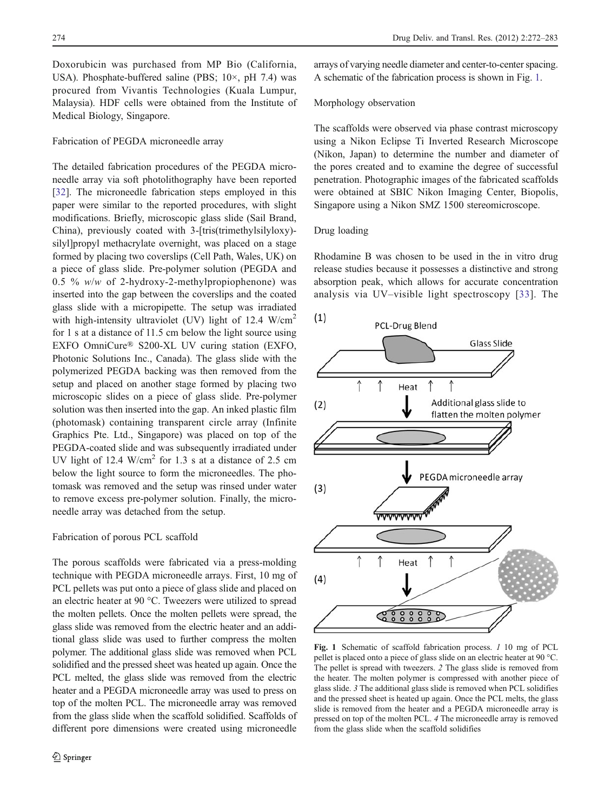<span id="page-2-0"></span>Doxorubicin was purchased from MP Bio (California, USA). Phosphate-buffered saline (PBS; 10×, pH 7.4) was procured from Vivantis Technologies (Kuala Lumpur, Malaysia). HDF cells were obtained from the Institute of Medical Biology, Singapore.

# Fabrication of PEGDA microneedle array

The detailed fabrication procedures of the PEGDA microneedle array via soft photolithography have been reported [\[32](#page-10-0)]. The microneedle fabrication steps employed in this paper were similar to the reported procedures, with slight modifications. Briefly, microscopic glass slide (Sail Brand, China), previously coated with 3-[tris(trimethylsilyloxy) silyl]propyl methacrylate overnight, was placed on a stage formed by placing two coverslips (Cell Path, Wales, UK) on a piece of glass slide. Pre-polymer solution (PEGDA and 0.5 %  $w/w$  of 2-hydroxy-2-methylpropiophenone) was inserted into the gap between the coverslips and the coated glass slide with a micropipette. The setup was irradiated with high-intensity ultraviolet (UV) light of 12.4  $W/cm<sup>2</sup>$ for 1 s at a distance of 11.5 cm below the light source using EXFO OmniCure® S200-XL UV curing station (EXFO, Photonic Solutions Inc., Canada). The glass slide with the polymerized PEGDA backing was then removed from the setup and placed on another stage formed by placing two microscopic slides on a piece of glass slide. Pre-polymer solution was then inserted into the gap. An inked plastic film (photomask) containing transparent circle array (Infinite Graphics Pte. Ltd., Singapore) was placed on top of the PEGDA-coated slide and was subsequently irradiated under UV light of 12.4 W/cm<sup>2</sup> for 1.3 s at a distance of 2.5 cm below the light source to form the microneedles. The photomask was removed and the setup was rinsed under water to remove excess pre-polymer solution. Finally, the microneedle array was detached from the setup.

## Fabrication of porous PCL scaffold

The porous scaffolds were fabricated via a press-molding technique with PEGDA microneedle arrays. First, 10 mg of PCL pellets was put onto a piece of glass slide and placed on an electric heater at 90 °C. Tweezers were utilized to spread the molten pellets. Once the molten pellets were spread, the glass slide was removed from the electric heater and an additional glass slide was used to further compress the molten polymer. The additional glass slide was removed when PCL solidified and the pressed sheet was heated up again. Once the PCL melted, the glass slide was removed from the electric heater and a PEGDA microneedle array was used to press on top of the molten PCL. The microneedle array was removed from the glass slide when the scaffold solidified. Scaffolds of different pore dimensions were created using microneedle

arrays of varying needle diameter and center-to-center spacing. A schematic of the fabrication process is shown in Fig. 1.

## Morphology observation

The scaffolds were observed via phase contrast microscopy using a Nikon Eclipse Ti Inverted Research Microscope (Nikon, Japan) to determine the number and diameter of the pores created and to examine the degree of successful penetration. Photographic images of the fabricated scaffolds were obtained at SBIC Nikon Imaging Center, Biopolis, Singapore using a Nikon SMZ 1500 stereomicroscope.

# Drug loading

Rhodamine B was chosen to be used in the in vitro drug release studies because it possesses a distinctive and strong absorption peak, which allows for accurate concentration analysis via UV–visible light spectroscopy [[33\]](#page-10-0). The



Fig. 1 Schematic of scaffold fabrication process. 1 10 mg of PCL pellet is placed onto a piece of glass slide on an electric heater at 90 °C. The pellet is spread with tweezers. 2 The glass slide is removed from the heater. The molten polymer is compressed with another piece of glass slide. 3 The additional glass slide is removed when PCL solidifies and the pressed sheet is heated up again. Once the PCL melts, the glass slide is removed from the heater and a PEGDA microneedle array is pressed on top of the molten PCL. 4 The microneedle array is removed from the glass slide when the scaffold solidifies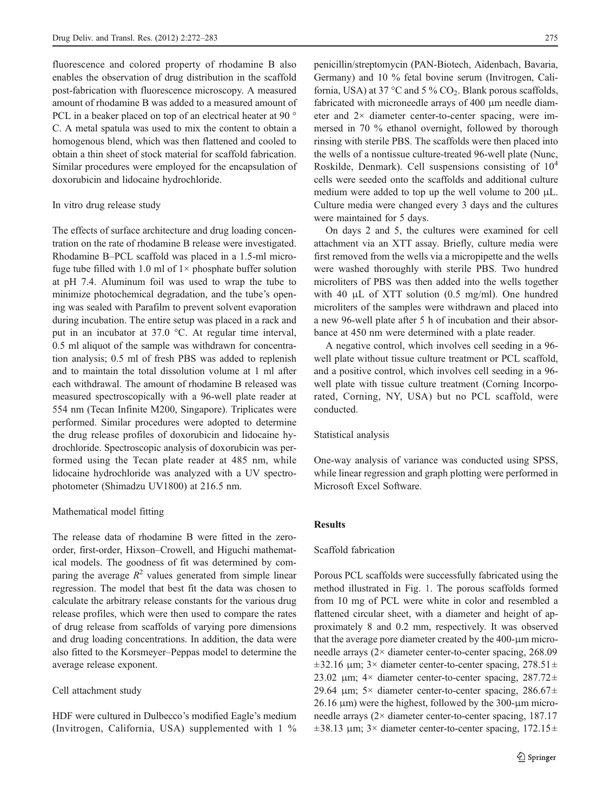fluorescence and colored property of rhodamine B also enables the observation of drug distribution in the scaffold post-fabrication with fluorescence microscopy. A measured amount of rhodamine B was added to a measured amount of PCL in a beaker placed on top of an electrical heater at 90 ° C. A metal spatula was used to mix the content to obtain a homogenous blend, which was then flattened and cooled to obtain a thin sheet of stock material for scaffold fabrication. Similar procedures were employed for the encapsulation of doxorubicin and lidocaine hydrochloride.

## In vitro drug release study

The effects of surface architecture and drug loading concentration on the rate of rhodamine B release were investigated. Rhodamine B–PCL scaffold was placed in a 1.5-ml microfuge tube filled with 1.0 ml of  $1 \times$  phosphate buffer solution at pH 7.4. Aluminum foil was used to wrap the tube to minimize photochemical degradation, and the tube's opening was sealed with Parafilm to prevent solvent evaporation during incubation. The entire setup was placed in a rack and put in an incubator at 37.0 °C. At regular time interval, 0.5 ml aliquot of the sample was withdrawn for concentration analysis; 0.5 ml of fresh PBS was added to replenish and to maintain the total dissolution volume at 1 ml after each withdrawal. The amount of rhodamine B released was measured spectroscopically with a 96-well plate reader at 554 nm (Tecan Infinite M200, Singapore). Triplicates were performed. Similar procedures were adopted to determine the drug release profiles of doxorubicin and lidocaine hydrochloride. Spectroscopic analysis of doxorubicin was performed using the Tecan plate reader at 485 nm, while lidocaine hydrochloride was analyzed with a UV spectrophotometer (Shimadzu UV1800) at 216.5 nm.

#### Mathematical model fitting

The release data of rhodamine B were fitted in the zeroorder, first-order, Hixson–Crowell, and Higuchi mathematical models. The goodness of fit was determined by comparing the average  $R^2$  values generated from simple linear regression. The model that best fit the data was chosen to calculate the arbitrary release constants for the various drug release profiles, which were then used to compare the rates of drug release from scaffolds of varying pore dimensions and drug loading concentrations. In addition, the data were also fitted to the Korsmeyer–Peppas model to determine the average release exponent.

## Cell attachment study

HDF were cultured in Dulbecco's modified Eagle's medium (Invitrogen, California, USA) supplemented with 1 % penicillin/streptomycin (PAN-Biotech, Aidenbach, Bavaria, Germany) and 10 % fetal bovine serum (Invitrogen, California, USA) at 37 °C and 5 %  $CO<sub>2</sub>$ . Blank porous scaffolds, fabricated with microneedle arrays of 400 μm needle diameter and 2× diameter center-to-center spacing, were immersed in 70 % ethanol overnight, followed by thorough rinsing with sterile PBS. The scaffolds were then placed into the wells of a nontissue culture-treated 96-well plate (Nunc, Roskilde, Denmark). Cell suspensions consisting of 10<sup>4</sup> cells were seeded onto the scaffolds and additional culture medium were added to top up the well volume to 200 μL. Culture media were changed every 3 days and the cultures were maintained for 5 days.

On days 2 and 5, the cultures were examined for cell attachment via an XTT assay. Briefly, culture media were first removed from the wells via a micropipette and the wells were washed thoroughly with sterile PBS. Two hundred microliters of PBS was then added into the wells together with 40 μL of XTT solution (0.5 mg/ml). One hundred microliters of the samples were withdrawn and placed into a new 96-well plate after 5 h of incubation and their absorbance at 450 nm were determined with a plate reader.

A negative control, which involves cell seeding in a 96 well plate without tissue culture treatment or PCL scaffold, and a positive control, which involves cell seeding in a 96 well plate with tissue culture treatment (Corning Incorporated, Corning, NY, USA) but no PCL scaffold, were conducted.

# Statistical analysis

One-way analysis of variance was conducted using SPSS, while linear regression and graph plotting were performed in Microsoft Excel Software.

## Results

## Scaffold fabrication

Porous PCL scaffolds were successfully fabricated using the method illustrated in Fig. [1](#page-2-0). The porous scaffolds formed from 10 mg of PCL were white in color and resembled a flattened circular sheet, with a diameter and height of approximately 8 and 0.2 mm, respectively. It was observed that the average pore diameter created by the 400-μm microneedle arrays (2× diameter center-to-center spacing, 268.09  $\pm$ 32.16 μm; 3× diameter center-to-center spacing, 278.51 $\pm$ 23.02 μm;  $4 \times$  diameter center-to-center spacing,  $287.72 \pm$ 29.64 μm;  $5 \times$  diameter center-to-center spacing,  $286.67 \pm$ 26.16 μm) were the highest, followed by the 300-μm microneedle arrays (2× diameter center-to-center spacing, 187.17  $\pm$ 38.13 μm; 3× diameter center-to-center spacing, 172.15 $\pm$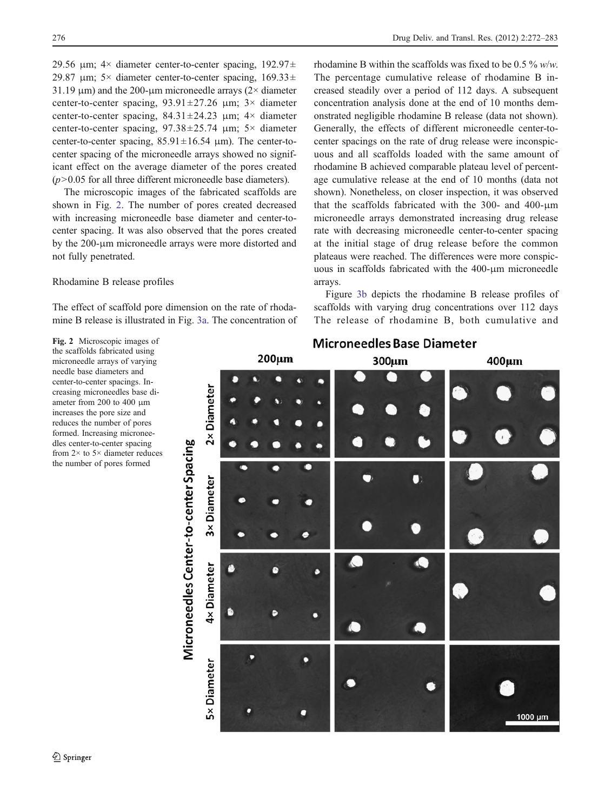29.56 μm;  $4 \times$  diameter center-to-center spacing,  $192.97 \pm$ 29.87 μm;  $5 \times$  diameter center-to-center spacing,  $169.33 \pm$ 31.19  $\mu$ m) and the 200- $\mu$ m microneedle arrays (2× diameter center-to-center spacing,  $93.91 \pm 27.26$  μm;  $3 \times$  diameter center-to-center spacing,  $84.31 \pm 24.23$  μm;  $4 \times$  diameter center-to-center spacing, 97.38±25.74 μm; 5× diameter center-to-center spacing,  $85.91 \pm 16.54$  μm). The center-tocenter spacing of the microneedle arrays showed no significant effect on the average diameter of the pores created  $(p>0.05$  for all three different microneedle base diameters).

The microscopic images of the fabricated scaffolds are shown in Fig. 2. The number of pores created decreased with increasing microneedle base diameter and center-tocenter spacing. It was also observed that the pores created by the 200-μm microneedle arrays were more distorted and not fully penetrated.

## Rhodamine B release profiles

The effect of scaffold pore dimension on the rate of rhodamine B release is illustrated in Fig. [3a](#page-5-0). The concentration of

Fig. 2 Microscopic images of the scaffolds fabricated using microneedle arrays of varying needle base diameters and center-to-center spacings. Increasing microneedles base diameter from 200 to 400 μm increases the pore size and reduces the number of pores formed. Increasing microneedles center-to-center spacing from  $2 \times$  to  $5 \times$  diameter reduces the number of pores formed

rhodamine B within the scaffolds was fixed to be 0.5 %  $w/w$ . The percentage cumulative release of rhodamine B increased steadily over a period of 112 days. A subsequent concentration analysis done at the end of 10 months demonstrated negligible rhodamine B release (data not shown). Generally, the effects of different microneedle center-tocenter spacings on the rate of drug release were inconspicuous and all scaffolds loaded with the same amount of rhodamine B achieved comparable plateau level of percentage cumulative release at the end of 10 months (data not shown). Nonetheless, on closer inspection, it was observed that the scaffolds fabricated with the 300- and 400-μm microneedle arrays demonstrated increasing drug release rate with decreasing microneedle center-to-center spacing at the initial stage of drug release before the common plateaus were reached. The differences were more conspicuous in scaffolds fabricated with the 400-μm microneedle arrays.

Figure [3b](#page-5-0) depicts the rhodamine B release profiles of scaffolds with varying drug concentrations over 112 days The release of rhodamine B, both cumulative and

# **Microneedles Base Diameter**



Microneedles Center-to-center Spacing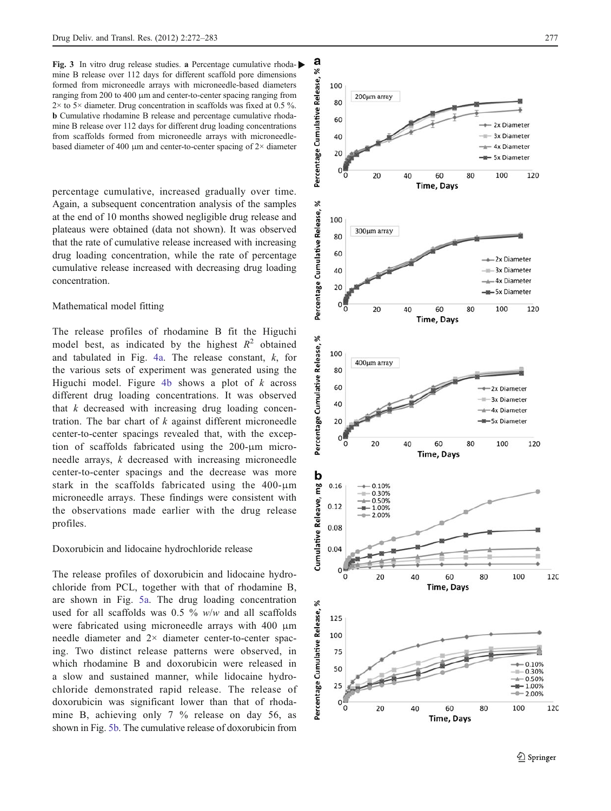<span id="page-5-0"></span>Fig. 3 In vitro drug release studies. a Percentage cumulative rhoda mine B release over 112 days for different scaffold pore dimensions formed from microneedle arrays with microneedle-based diameters ranging from 200 to 400 μm and center-to-center spacing ranging from  $2 \times$  to 5 $\times$  diameter. Drug concentration in scaffolds was fixed at 0.5 %. b Cumulative rhodamine B release and percentage cumulative rhodamine B release over 112 days for different drug loading concentrations from scaffolds formed from microneedle arrays with microneedlebased diameter of 400  $\mu$ m and center-to-center spacing of 2× diameter

percentage cumulative, increased gradually over time. Again, a subsequent concentration analysis of the samples at the end of 10 months showed negligible drug release and plateaus were obtained (data not shown). It was observed that the rate of cumulative release increased with increasing drug loading concentration, while the rate of percentage cumulative release increased with decreasing drug loading concentration.

## Mathematical model fitting

The release profiles of rhodamine B fit the Higuchi model best, as indicated by the highest  $R^2$  obtained and tabulated in Fig. [4a](#page-6-0). The release constant, k, for the various sets of experiment was generated using the Higuchi model. Figure  $4b$  shows a plot of  $k$  across different drug loading concentrations. It was observed that k decreased with increasing drug loading concentration. The bar chart of  $k$  against different microneedle center-to-center spacings revealed that, with the exception of scaffolds fabricated using the 200-μm microneedle arrays, k decreased with increasing microneedle center-to-center spacings and the decrease was more stark in the scaffolds fabricated using the 400- μ m microneedle arrays. These findings were consistent with the observations made earlier with the drug release profiles.

# Doxorubicin and lidocaine hydrochloride release

The release profiles of doxorubicin and lidocaine hydrochloride from PCL, together with that of rhodamine B, are shown in Fig. [5a](#page-6-0). The drug loading concentration used for all scaffolds was 0.5 %  $w/w$  and all scaffolds were fabricated using microneedle arrays with 400 μm needle diameter and 2× diameter center-to-center spacing. Two distinct release patterns were observed, in which rhodamine B and doxorubicin were released in a slow and sustained manner, while lidocaine hydrochloride demonstrated rapid release. The release of doxorubicin was significant lower than that of rhodamine B, achieving only 7 % release on day 56, as shown in Fig. [5b.](#page-6-0) The cumulative release of doxorubicin from

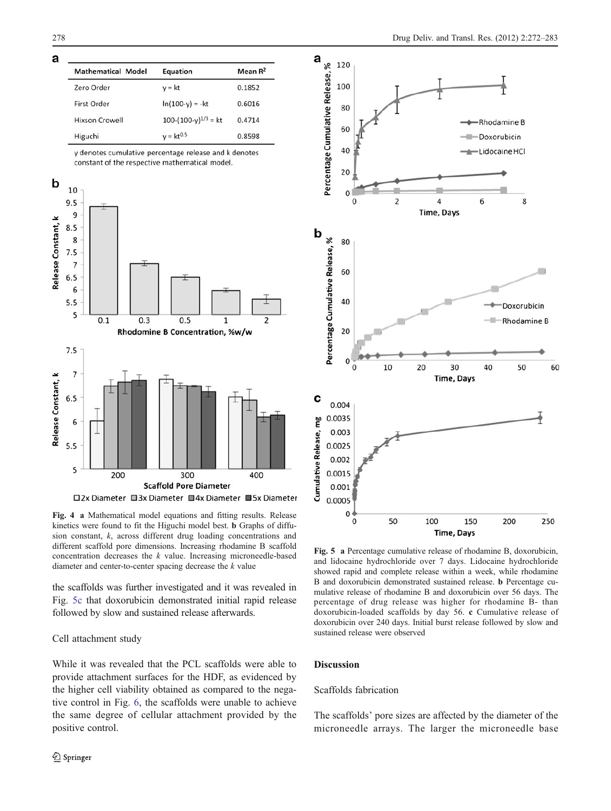<span id="page-6-0"></span>

| <b>Mathematical Model</b> | <b>Equation</b>          | Mean $R^2$ |
|---------------------------|--------------------------|------------|
| Zero Order                | $v = kt$                 | 0.1852     |
| First Order               | $ln(100-v) = -kt$        | 0.6016     |
| <b>Hixson Crowell</b>     | $100-(100-y)^{1/3}$ = kt | 0.4714     |
| Higuchi                   | $v = kt^{0.5}$           | 0.8598     |

v denotes cumulative percentage release and k denotes constant of the respective mathematical model.



Fig. 4 a Mathematical model equations and fitting results. Release kinetics were found to fit the Higuchi model best. b Graphs of diffusion constant, k, across different drug loading concentrations and different scaffold pore dimensions. Increasing rhodamine B scaffold concentration decreases the  $k$  value. Increasing microneedle-based diameter and center-to-center spacing decrease the  $k$  value

the scaffolds was further investigated and it was revealed in Fig. 5c that doxorubicin demonstrated initial rapid release followed by slow and sustained release afterwards.

## Cell attachment study

While it was revealed that the PCL scaffolds were able to provide attachment surfaces for the HDF, as evidenced by the higher cell viability obtained as compared to the negative control in Fig. [6,](#page-7-0) the scaffolds were unable to achieve the same degree of cellular attachment provided by the positive control.



Fig. 5 a Percentage cumulative release of rhodamine B, doxorubicin, and lidocaine hydrochloride over 7 days. Lidocaine hydrochloride showed rapid and complete release within a week, while rhodamine B and doxorubicin demonstrated sustained release. b Percentage cumulative release of rhodamine B and doxorubicin over 56 days. The percentage of drug release was higher for rhodamine B- than doxorubicin-loaded scaffolds by day 56. c Cumulative release of doxorubicin over 240 days. Initial burst release followed by slow and sustained release were observed

## Discussion

## Scaffolds fabrication

The scaffolds' pore sizes are affected by the diameter of the microneedle arrays. The larger the microneedle base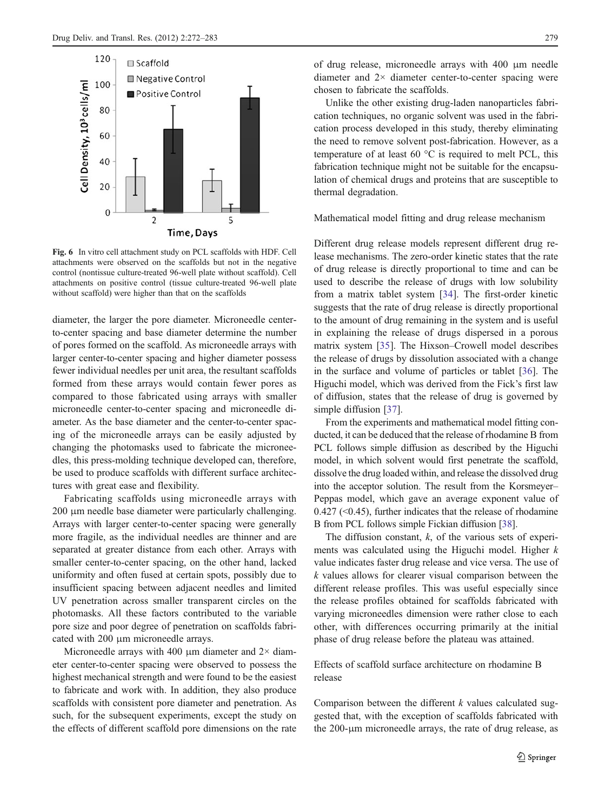<span id="page-7-0"></span>

Fig. 6 In vitro cell attachment study on PCL scaffolds with HDF. Cell attachments were observed on the scaffolds but not in the negative control (nontissue culture-treated 96-well plate without scaffold). Cell attachments on positive control (tissue culture-treated 96-well plate without scaffold) were higher than that on the scaffolds

diameter, the larger the pore diameter. Microneedle centerto-center spacing and base diameter determine the number of pores formed on the scaffold. As microneedle arrays with larger center-to-center spacing and higher diameter possess fewer individual needles per unit area, the resultant scaffolds formed from these arrays would contain fewer pores as compared to those fabricated using arrays with smaller microneedle center-to-center spacing and microneedle diameter. As the base diameter and the center-to-center spacing of the microneedle arrays can be easily adjusted by changing the photomasks used to fabricate the microneedles, this press-molding technique developed can, therefore, be used to produce scaffolds with different surface architectures with great ease and flexibility.

Fabricating scaffolds using microneedle arrays with 200 μm needle base diameter were particularly challenging. Arrays with larger center-to-center spacing were generally more fragile, as the individual needles are thinner and are separated at greater distance from each other. Arrays with smaller center-to-center spacing, on the other hand, lacked uniformity and often fused at certain spots, possibly due to insufficient spacing between adjacent needles and limited UV penetration across smaller transparent circles on the photomasks. All these factors contributed to the variable pore size and poor degree of penetration on scaffolds fabricated with 200 μm microneedle arrays.

Microneedle arrays with 400  $\mu$ m diameter and 2 $\times$  diameter center-to-center spacing were observed to possess the highest mechanical strength and were found to be the easiest to fabricate and work with. In addition, they also produce scaffolds with consistent pore diameter and penetration. As such, for the subsequent experiments, except the study on the effects of different scaffold pore dimensions on the rate of drug release, microneedle arrays with 400 μm needle diameter and 2× diameter center-to-center spacing were chosen to fabricate the scaffolds.

Unlike the other existing drug-laden nanoparticles fabrication techniques, no organic solvent was used in the fabrication process developed in this study, thereby eliminating the need to remove solvent post-fabrication. However, as a temperature of at least  $60^{\circ}$ C is required to melt PCL, this fabrication technique might not be suitable for the encapsulation of chemical drugs and proteins that are susceptible to thermal degradation.

## Mathematical model fitting and drug release mechanism

Different drug release models represent different drug release mechanisms. The zero-order kinetic states that the rate of drug release is directly proportional to time and can be used to describe the release of drugs with low solubility from a matrix tablet system [[34\]](#page-11-0). The first-order kinetic suggests that the rate of drug release is directly proportional to the amount of drug remaining in the system and is useful in explaining the release of drugs dispersed in a porous matrix system [\[35](#page-11-0)]. The Hixson–Crowell model describes the release of drugs by dissolution associated with a change in the surface and volume of particles or tablet [\[36](#page-11-0)]. The Higuchi model, which was derived from the Fick's first law of diffusion, states that the release of drug is governed by simple diffusion [\[37](#page-11-0)].

From the experiments and mathematical model fitting conducted, it can be deduced that the release of rhodamine B from PCL follows simple diffusion as described by the Higuchi model, in which solvent would first penetrate the scaffold, dissolve the drug loaded within, and release the dissolved drug into the acceptor solution. The result from the Korsmeyer– Peppas model, which gave an average exponent value of  $0.427$  ( $\leq 0.45$ ), further indicates that the release of rhodamine B from PCL follows simple Fickian diffusion [[38](#page-11-0)].

The diffusion constant,  $k$ , of the various sets of experiments was calculated using the Higuchi model. Higher  $k$ value indicates faster drug release and vice versa. The use of  $k$  values allows for clearer visual comparison between the different release profiles. This was useful especially since the release profiles obtained for scaffolds fabricated with varying microneedles dimension were rather close to each other, with differences occurring primarily at the initial phase of drug release before the plateau was attained.

# Effects of scaffold surface architecture on rhodamine B release

Comparison between the different  $k$  values calculated suggested that, with the exception of scaffolds fabricated with the 200-μm microneedle arrays, the rate of drug release, as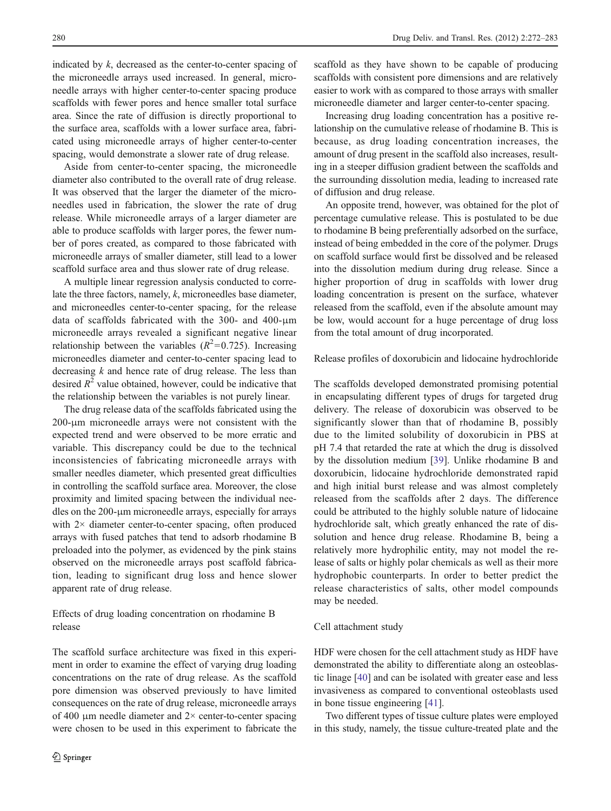indicated by k, decreased as the center-to-center spacing of the microneedle arrays used increased. In general, microneedle arrays with higher center-to-center spacing produce scaffolds with fewer pores and hence smaller total surface area. Since the rate of diffusion is directly proportional to the surface area, scaffolds with a lower surface area, fabricated using microneedle arrays of higher center-to-center spacing, would demonstrate a slower rate of drug release.

Aside from center-to-center spacing, the microneedle diameter also contributed to the overall rate of drug release. It was observed that the larger the diameter of the microneedles used in fabrication, the slower the rate of drug release. While microneedle arrays of a larger diameter are able to produce scaffolds with larger pores, the fewer number of pores created, as compared to those fabricated with microneedle arrays of smaller diameter, still lead to a lower scaffold surface area and thus slower rate of drug release.

A multiple linear regression analysis conducted to correlate the three factors, namely, k, microneedles base diameter, and microneedles center-to-center spacing, for the release data of scaffolds fabricated with the 300- and 400-μm microneedle arrays revealed a significant negative linear relationship between the variables  $(R^2=0.725)$ . Increasing microneedles diameter and center-to-center spacing lead to decreasing  $k$  and hence rate of drug release. The less than desired  $R^2$  value obtained, however, could be indicative that the relationship between the variables is not purely linear.

The drug release data of the scaffolds fabricated using the 200-μm microneedle arrays were not consistent with the expected trend and were observed to be more erratic and variable. This discrepancy could be due to the technical inconsistencies of fabricating microneedle arrays with smaller needles diameter, which presented great difficulties in controlling the scaffold surface area. Moreover, the close proximity and limited spacing between the individual needles on the 200-μm microneedle arrays, especially for arrays with  $2 \times$  diameter center-to-center spacing, often produced arrays with fused patches that tend to adsorb rhodamine B preloaded into the polymer, as evidenced by the pink stains observed on the microneedle arrays post scaffold fabrication, leading to significant drug loss and hence slower apparent rate of drug release.

# Effects of drug loading concentration on rhodamine B release

The scaffold surface architecture was fixed in this experiment in order to examine the effect of varying drug loading concentrations on the rate of drug release. As the scaffold pore dimension was observed previously to have limited consequences on the rate of drug release, microneedle arrays of 400  $\mu$ m needle diameter and 2 $\times$  center-to-center spacing were chosen to be used in this experiment to fabricate the scaffold as they have shown to be capable of producing scaffolds with consistent pore dimensions and are relatively easier to work with as compared to those arrays with smaller microneedle diameter and larger center-to-center spacing.

Increasing drug loading concentration has a positive relationship on the cumulative release of rhodamine B. This is because, as drug loading concentration increases, the amount of drug present in the scaffold also increases, resulting in a steeper diffusion gradient between the scaffolds and the surrounding dissolution media, leading to increased rate of diffusion and drug release.

An opposite trend, however, was obtained for the plot of percentage cumulative release. This is postulated to be due to rhodamine B being preferentially adsorbed on the surface, instead of being embedded in the core of the polymer. Drugs on scaffold surface would first be dissolved and be released into the dissolution medium during drug release. Since a higher proportion of drug in scaffolds with lower drug loading concentration is present on the surface, whatever released from the scaffold, even if the absolute amount may be low, would account for a huge percentage of drug loss from the total amount of drug incorporated.

#### Release profiles of doxorubicin and lidocaine hydrochloride

The scaffolds developed demonstrated promising potential in encapsulating different types of drugs for targeted drug delivery. The release of doxorubicin was observed to be significantly slower than that of rhodamine B, possibly due to the limited solubility of doxorubicin in PBS at pH 7.4 that retarded the rate at which the drug is dissolved by the dissolution medium [[39\]](#page-11-0). Unlike rhodamine B and doxorubicin, lidocaine hydrochloride demonstrated rapid and high initial burst release and was almost completely released from the scaffolds after 2 days. The difference could be attributed to the highly soluble nature of lidocaine hydrochloride salt, which greatly enhanced the rate of dissolution and hence drug release. Rhodamine B, being a relatively more hydrophilic entity, may not model the release of salts or highly polar chemicals as well as their more hydrophobic counterparts. In order to better predict the release characteristics of salts, other model compounds may be needed.

#### Cell attachment study

HDF were chosen for the cell attachment study as HDF have demonstrated the ability to differentiate along an osteoblastic linage [\[40](#page-11-0)] and can be isolated with greater ease and less invasiveness as compared to conventional osteoblasts used in bone tissue engineering [\[41](#page-11-0)].

Two different types of tissue culture plates were employed in this study, namely, the tissue culture-treated plate and the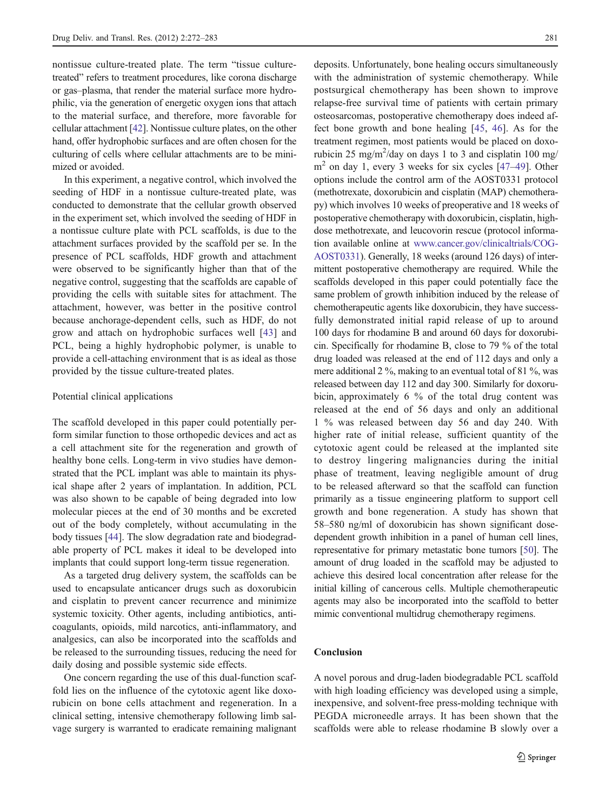nontissue culture-treated plate. The term "tissue culturetreated" refers to treatment procedures, like corona discharge or gas–plasma, that render the material surface more hydrophilic, via the generation of energetic oxygen ions that attach to the material surface, and therefore, more favorable for cellular attachment [\[42](#page-11-0)]. Nontissue culture plates, on the other hand, offer hydrophobic surfaces and are often chosen for the culturing of cells where cellular attachments are to be minimized or avoided.

In this experiment, a negative control, which involved the seeding of HDF in a nontissue culture-treated plate, was conducted to demonstrate that the cellular growth observed in the experiment set, which involved the seeding of HDF in a nontissue culture plate with PCL scaffolds, is due to the attachment surfaces provided by the scaffold per se. In the presence of PCL scaffolds, HDF growth and attachment were observed to be significantly higher than that of the negative control, suggesting that the scaffolds are capable of providing the cells with suitable sites for attachment. The attachment, however, was better in the positive control because anchorage-dependent cells, such as HDF, do not grow and attach on hydrophobic surfaces well [[43\]](#page-11-0) and PCL, being a highly hydrophobic polymer, is unable to provide a cell-attaching environment that is as ideal as those provided by the tissue culture-treated plates.

## Potential clinical applications

The scaffold developed in this paper could potentially perform similar function to those orthopedic devices and act as a cell attachment site for the regeneration and growth of healthy bone cells. Long-term in vivo studies have demonstrated that the PCL implant was able to maintain its physical shape after 2 years of implantation. In addition, PCL was also shown to be capable of being degraded into low molecular pieces at the end of 30 months and be excreted out of the body completely, without accumulating in the body tissues [[44\]](#page-11-0). The slow degradation rate and biodegradable property of PCL makes it ideal to be developed into implants that could support long-term tissue regeneration.

As a targeted drug delivery system, the scaffolds can be used to encapsulate anticancer drugs such as doxorubicin and cisplatin to prevent cancer recurrence and minimize systemic toxicity. Other agents, including antibiotics, anticoagulants, opioids, mild narcotics, anti-inflammatory, and analgesics, can also be incorporated into the scaffolds and be released to the surrounding tissues, reducing the need for daily dosing and possible systemic side effects.

One concern regarding the use of this dual-function scaffold lies on the influence of the cytotoxic agent like doxorubicin on bone cells attachment and regeneration. In a clinical setting, intensive chemotherapy following limb salvage surgery is warranted to eradicate remaining malignant deposits. Unfortunately, bone healing occurs simultaneously with the administration of systemic chemotherapy. While postsurgical chemotherapy has been shown to improve relapse-free survival time of patients with certain primary osteosarcomas, postoperative chemotherapy does indeed affect bone growth and bone healing [[45,](#page-11-0) [46\]](#page-11-0). As for the treatment regimen, most patients would be placed on doxorubicin 25 mg/m<sup>2</sup>/day on days 1 to 3 and cisplatin 100 mg/  $m<sup>2</sup>$  on day 1, every 3 weeks for six cycles [[47](#page-11-0)–[49\]](#page-11-0). Other options include the control arm of the AOST0331 protocol (methotrexate, doxorubicin and cisplatin (MAP) chemotherapy) which involves 10 weeks of preoperative and 18 weeks of postoperative chemotherapy with doxorubicin, cisplatin, highdose methotrexate, and leucovorin rescue (protocol information available online at [www.cancer.gov/clinicaltrials/COG-](http://www.cancer.gov/clinicaltrials/COG-AOST0331)[AOST0331](http://www.cancer.gov/clinicaltrials/COG-AOST0331)). Generally, 18 weeks (around 126 days) of intermittent postoperative chemotherapy are required. While the scaffolds developed in this paper could potentially face the same problem of growth inhibition induced by the release of chemotherapeutic agents like doxorubicin, they have successfully demonstrated initial rapid release of up to around 100 days for rhodamine B and around 60 days for doxorubicin. Specifically for rhodamine B, close to 79 % of the total drug loaded was released at the end of 112 days and only a mere additional 2 %, making to an eventual total of 81 %, was released between day 112 and day 300. Similarly for doxorubicin, approximately 6 % of the total drug content was released at the end of 56 days and only an additional 1 % was released between day 56 and day 240. With higher rate of initial release, sufficient quantity of the cytotoxic agent could be released at the implanted site to destroy lingering malignancies during the initial phase of treatment, leaving negligible amount of drug to be released afterward so that the scaffold can function primarily as a tissue engineering platform to support cell growth and bone regeneration. A study has shown that 58–580 ng/ml of doxorubicin has shown significant dosedependent growth inhibition in a panel of human cell lines, representative for primary metastatic bone tumors [\[50](#page-11-0)]. The amount of drug loaded in the scaffold may be adjusted to achieve this desired local concentration after release for the initial killing of cancerous cells. Multiple chemotherapeutic agents may also be incorporated into the scaffold to better mimic conventional multidrug chemotherapy regimens.

# Conclusion

A novel porous and drug-laden biodegradable PCL scaffold with high loading efficiency was developed using a simple, inexpensive, and solvent-free press-molding technique with PEGDA microneedle arrays. It has been shown that the scaffolds were able to release rhodamine B slowly over a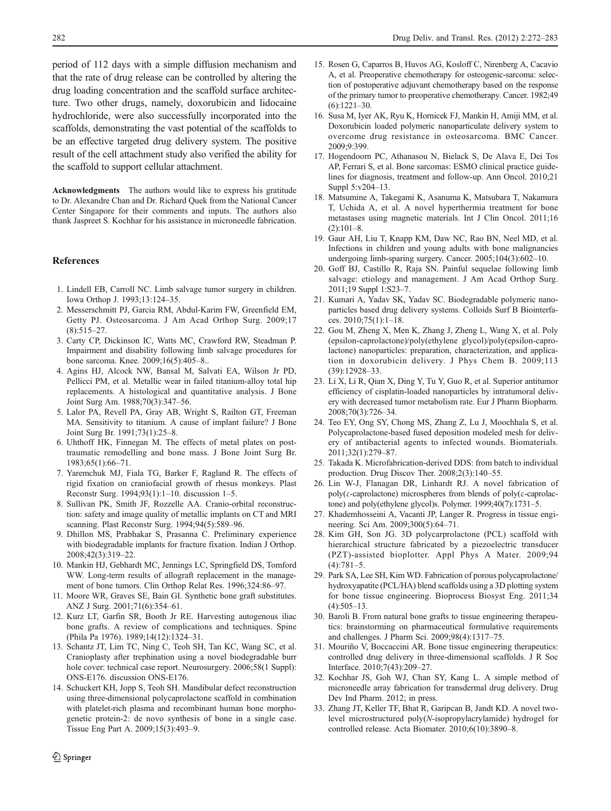<span id="page-10-0"></span>period of 112 days with a simple diffusion mechanism and that the rate of drug release can be controlled by altering the drug loading concentration and the scaffold surface architecture. Two other drugs, namely, doxorubicin and lidocaine hydrochloride, were also successfully incorporated into the scaffolds, demonstrating the vast potential of the scaffolds to be an effective targeted drug delivery system. The positive result of the cell attachment study also verified the ability for the scaffold to support cellular attachment.

Acknowledgments The authors would like to express his gratitude to Dr. Alexandre Chan and Dr. Richard Quek from the National Cancer Center Singapore for their comments and inputs. The authors also thank Jaspreet S. Kochhar for his assistance in microneedle fabrication.

#### References

- 1. Lindell EB, Carroll NC. Limb salvage tumor surgery in children. Iowa Orthop J. 1993;13:124–35.
- 2. Messerschmitt PJ, Garcia RM, Abdul-Karim FW, Greenfield EM, Getty PJ. Osteosarcoma. J Am Acad Orthop Surg. 2009;17  $(8):515-27.$
- 3. Carty CP, Dickinson IC, Watts MC, Crawford RW, Steadman P. Impairment and disability following limb salvage procedures for bone sarcoma. Knee. 2009;16(5):405–8..
- 4. Agins HJ, Alcock NW, Bansal M, Salvati EA, Wilson Jr PD, Pellicci PM, et al. Metallic wear in failed titanium-alloy total hip replacements. A histological and quantitative analysis. J Bone Joint Surg Am. 1988;70(3):347–56.
- 5. Lalor PA, Revell PA, Gray AB, Wright S, Railton GT, Freeman MA. Sensitivity to titanium. A cause of implant failure? J Bone Joint Surg Br. 1991;73(1):25–8.
- 6. Uhthoff HK, Finnegan M. The effects of metal plates on posttraumatic remodelling and bone mass. J Bone Joint Surg Br. 1983;65(1):66–71.
- 7. Yaremchuk MJ, Fiala TG, Barker F, Ragland R. The effects of rigid fixation on craniofacial growth of rhesus monkeys. Plast Reconstr Surg. 1994;93(1):1–10. discussion 1–5.
- 8. Sullivan PK, Smith JF, Rozzelle AA. Cranio-orbital reconstruction: safety and image quality of metallic implants on CT and MRI scanning. Plast Reconstr Surg. 1994;94(5):589–96.
- 9. Dhillon MS, Prabhakar S, Prasanna C. Preliminary experience with biodegradable implants for fracture fixation. Indian J Orthop. 2008;42(3):319–22.
- 10. Mankin HJ, Gebhardt MC, Jennings LC, Springfield DS, Tomford WW. Long-term results of allograft replacement in the management of bone tumors. Clin Orthop Relat Res. 1996;324:86–97.
- 11. Moore WR, Graves SE, Bain GI. Synthetic bone graft substitutes. ANZ J Surg. 2001;71(6):354–61.
- 12. Kurz LT, Garfin SR, Booth Jr RE. Harvesting autogenous iliac bone grafts. A review of complications and techniques. Spine (Phila Pa 1976). 1989;14(12):1324–31.
- 13. Schantz JT, Lim TC, Ning C, Teoh SH, Tan KC, Wang SC, et al. Cranioplasty after trephination using a novel biodegradable burr hole cover: technical case report. Neurosurgery. 2006;58(1 Suppl): ONS-E176. discussion ONS-E176.
- 14. Schuckert KH, Jopp S, Teoh SH. Mandibular defect reconstruction using three-dimensional polycaprolactone scaffold in combination with platelet-rich plasma and recombinant human bone morphogenetic protein-2: de novo synthesis of bone in a single case. Tissue Eng Part A. 2009;15(3):493–9.
- 15. Rosen G, Caparros B, Huvos AG, Kosloff C, Nirenberg A, Cacavio A, et al. Preoperative chemotherapy for osteogenic-sarcoma: selection of postoperative adjuvant chemotherapy based on the response of the primary tumor to preoperative chemotherapy. Cancer. 1982;49 (6):1221–30.
- 16. Susa M, Iyer AK, Ryu K, Hornicek FJ, Mankin H, Amiji MM, et al. Doxorubicin loaded polymeric nanoparticulate delivery system to overcome drug resistance in osteosarcoma. BMC Cancer. 2009;9:399.
- 17. Hogendoorn PC, Athanasou N, Bielack S, De Alava E, Dei Tos AP, Ferrari S, et al. Bone sarcomas: ESMO clinical practice guidelines for diagnosis, treatment and follow-up. Ann Oncol. 2010;21 Suppl 5:v204–13.
- 18. Matsumine A, Takegami K, Asanuma K, Matsubara T, Nakamura T, Uchida A, et al. A novel hyperthermia treatment for bone metastases using magnetic materials. Int J Clin Oncol. 2011;16 (2):101–8.
- 19. Gaur AH, Liu T, Knapp KM, Daw NC, Rao BN, Neel MD, et al. Infections in children and young adults with bone malignancies undergoing limb-sparing surgery. Cancer. 2005;104(3):602–10.
- 20. Goff BJ, Castillo R, Raja SN. Painful sequelae following limb salvage: etiology and management. J Am Acad Orthop Surg. 2011;19 Suppl 1:S23–7.
- 21. Kumari A, Yadav SK, Yadav SC. Biodegradable polymeric nanoparticles based drug delivery systems. Colloids Surf B Biointerfaces. 2010;75(1):1–18.
- 22. Gou M, Zheng X, Men K, Zhang J, Zheng L, Wang X, et al. Poly (epsilon-caprolactone)/poly(ethylene glycol)/poly(epsilon-caprolactone) nanoparticles: preparation, characterization, and application in doxorubicin delivery. J Phys Chem B. 2009;113 (39):12928–33.
- 23. Li X, Li R, Qian X, Ding Y, Tu Y, Guo R, et al. Superior antitumor efficiency of cisplatin-loaded nanoparticles by intratumoral delivery with decreased tumor metabolism rate. Eur J Pharm Biopharm. 2008;70(3):726–34.
- 24. Teo EY, Ong SY, Chong MS, Zhang Z, Lu J, Moochhala S, et al. Polycaprolactone-based fused deposition modeled mesh for delivery of antibacterial agents to infected wounds. Biomaterials. 2011;32(1):279–87.
- 25. Takada K. Microfabrication-derived DDS: from batch to individual production. Drug Discov Ther. 2008;2(3):140–55.
- 26. Lin W-J, Flanagan DR, Linhardt RJ. A novel fabrication of poly(ε-caprolactone) microspheres from blends of poly(ε-caprolactone) and poly(ethylene glycol)s. Polymer. 1999;40(7):1731–5.
- 27. Khademhosseini A, Vacanti JP, Langer R. Progress in tissue engineering. Sci Am. 2009;300(5):64–71.
- 28. Kim GH, Son JG. 3D polycarprolactone (PCL) scaffold with hierarchical structure fabricated by a piezoelectric transducer (PZT)-assisted bioplotter. Appl Phys A Mater. 2009;94  $(4):781-5.$
- 29. Park SA, Lee SH, Kim WD. Fabrication of porous polycaprolactone/ hydroxyapatite (PCL/HA) blend scaffolds using a 3D plotting system for bone tissue engineering. Bioprocess Biosyst Eng. 2011;34  $(4):505-13.$
- 30. Baroli B. From natural bone grafts to tissue engineering therapeutics: brainstorming on pharmaceutical formulative requirements and challenges. J Pharm Sci. 2009;98(4):1317–75.
- 31. Mouriño V, Boccaccini AR. Bone tissue engineering therapeutics: controlled drug delivery in three-dimensional scaffolds. J R Soc Interface. 2010;7(43):209–27.
- 32. Kochhar JS, Goh WJ, Chan SY, Kang L. A simple method of microneedle array fabrication for transdermal drug delivery. Drug Dev Ind Pharm. 2012; in press.
- 33. Zhang JT, Keller TF, Bhat R, Garipcan B, Jandt KD. A novel twolevel microstructured poly(N-isopropylacrylamide) hydrogel for controlled release. Acta Biomater. 2010;6(10):3890–8.